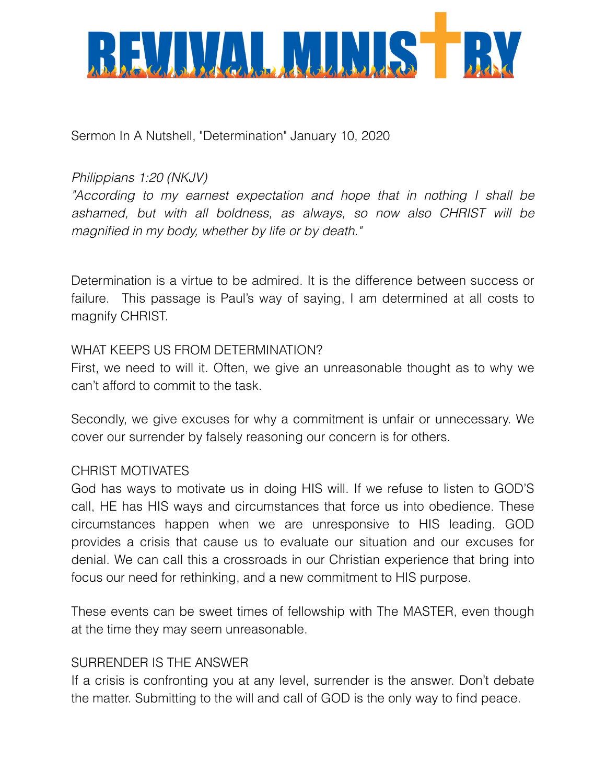

Sermon In A Nutshell, "Determination" January 10, 2020

# *Philippians 1:20 (NKJV)*

*"According to my earnest expectation and hope that in nothing I shall be ashamed, but with all boldness, as always, so now also CHRIST will be magnified in my body, whether by life or by death."*

Determination is a virtue to be admired. It is the difference between success or failure. This passage is Paul's way of saying, I am determined at all costs to magnify CHRIST.

#### WHAT KEEPS US FROM DETERMINATION?

First, we need to will it. Often, we give an unreasonable thought as to why we can't afford to commit to the task.

Secondly, we give excuses for why a commitment is unfair or unnecessary. We cover our surrender by falsely reasoning our concern is for others.

## CHRIST MOTIVATES

God has ways to motivate us in doing HIS will. If we refuse to listen to GOD'S call, HE has HIS ways and circumstances that force us into obedience. These circumstances happen when we are unresponsive to HIS leading. GOD provides a crisis that cause us to evaluate our situation and our excuses for denial. We can call this a crossroads in our Christian experience that bring into focus our need for rethinking, and a new commitment to HIS purpose.

These events can be sweet times of fellowship with The MASTER, even though at the time they may seem unreasonable.

## SURRENDER IS THE ANSWER

If a crisis is confronting you at any level, surrender is the answer. Don't debate the matter. Submitting to the will and call of GOD is the only way to find peace.